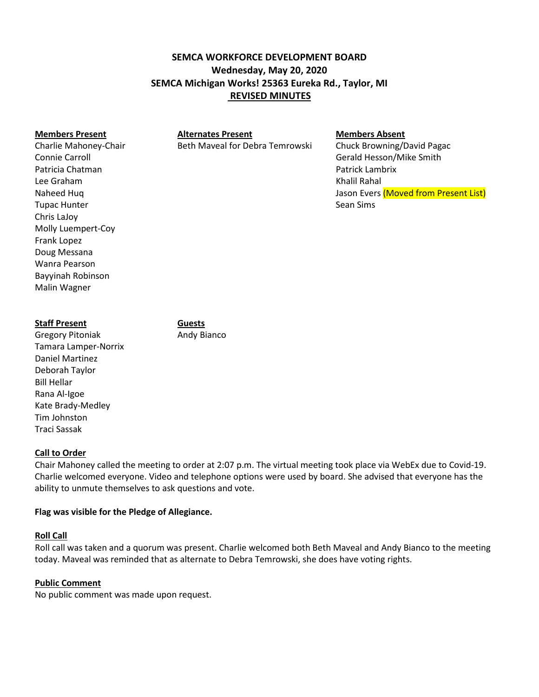# **SEMCA WORKFORCE DEVELOPMENT BOARD Wednesday, May 20, 2020 SEMCA Michigan Works! 25363 Eureka Rd., Taylor, MI REVISED MINUTES**

**Members Present Alternates Present Members Absent**

Charlie Mahoney-Chair **Beth Maveal for Debra Temrowski** Chuck Browning/David Pagac

Connie Carroll Gerald Hesson/Mike Smith Naheed Huq Jason Evers (Moved from Present List) and Dunner Structure and Jason Evers (Moved from Present List)

# **Staff Present Guests**

Gregory Pitoniak **Andy Bianco** Tamara Lamper-Norrix Daniel Martinez Deborah Taylor Bill Hellar Rana Al-Igoe Kate Brady-Medley Tim Johnston Traci Sassak

## **Call to Order**

Chair Mahoney called the meeting to order at 2:07 p.m. The virtual meeting took place via WebEx due to Covid-19. Charlie welcomed everyone. Video and telephone options were used by board. She advised that everyone has the ability to unmute themselves to ask questions and vote.

## **Flag was visible for the Pledge of Allegiance.**

## **Roll Call**

Roll call was taken and a quorum was present. Charlie welcomed both Beth Maveal and Andy Bianco to the meeting today. Maveal was reminded that as alternate to Debra Temrowski, she does have voting rights.

## **Public Comment**

No public comment was made upon request.

Patricia Chatman Patrick Lambrix Lee Graham Khalil Rahal **Tupac Hunter Sean Sims** Sean Sims Chris LaJoy Molly Luempert-Coy Frank Lopez Doug Messana Wanra Pearson Bayyinah Robinson Malin Wagner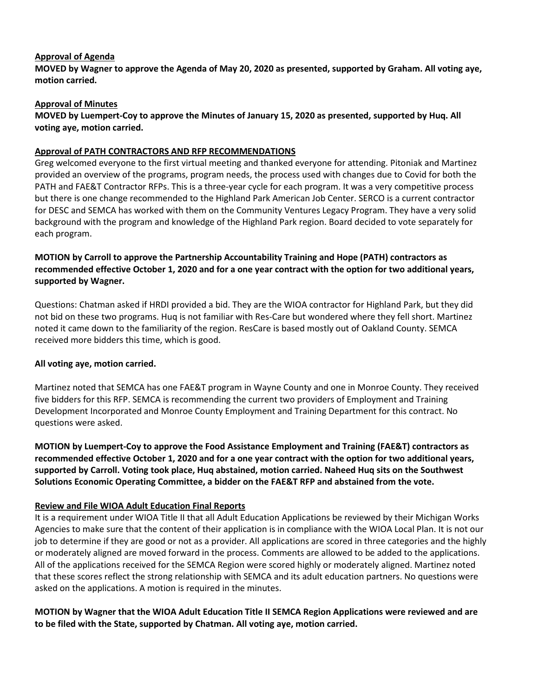## **Approval of Agenda**

**MOVED by Wagner to approve the Agenda of May 20, 2020 as presented, supported by Graham. All voting aye, motion carried.**

## **Approval of Minutes**

## **MOVED by Luempert-Coy to approve the Minutes of January 15, 2020 as presented, supported by Huq. All voting aye, motion carried.**

## **Approval of PATH CONTRACTORS AND RFP RECOMMENDATIONS**

Greg welcomed everyone to the first virtual meeting and thanked everyone for attending. Pitoniak and Martinez provided an overview of the programs, program needs, the process used with changes due to Covid for both the PATH and FAE&T Contractor RFPs. This is a three-year cycle for each program. It was a very competitive process but there is one change recommended to the Highland Park American Job Center. SERCO is a current contractor for DESC and SEMCA has worked with them on the Community Ventures Legacy Program. They have a very solid background with the program and knowledge of the Highland Park region. Board decided to vote separately for each program.

## **MOTION by Carroll to approve the Partnership Accountability Training and Hope (PATH) contractors as recommended effective October 1, 2020 and for a one year contract with the option for two additional years, supported by Wagner.**

Questions: Chatman asked if HRDI provided a bid. They are the WIOA contractor for Highland Park, but they did not bid on these two programs. Huq is not familiar with Res-Care but wondered where they fell short. Martinez noted it came down to the familiarity of the region. ResCare is based mostly out of Oakland County. SEMCA received more bidders this time, which is good.

## **All voting aye, motion carried.**

Martinez noted that SEMCA has one FAE&T program in Wayne County and one in Monroe County. They received five bidders for this RFP. SEMCA is recommending the current two providers of Employment and Training Development Incorporated and Monroe County Employment and Training Department for this contract. No questions were asked.

**MOTION by Luempert-Coy to approve the Food Assistance Employment and Training (FAE&T) contractors as recommended effective October 1, 2020 and for a one year contract with the option for two additional years, supported by Carroll. Voting took place, Huq abstained, motion carried. Naheed Huq sits on the Southwest Solutions Economic Operating Committee, a bidder on the FAE&T RFP and abstained from the vote.**

## **Review and File WIOA Adult Education Final Reports**

It is a requirement under WIOA Title II that all Adult Education Applications be reviewed by their Michigan Works Agencies to make sure that the content of their application is in compliance with the WIOA Local Plan. It is not our job to determine if they are good or not as a provider. All applications are scored in three categories and the highly or moderately aligned are moved forward in the process. Comments are allowed to be added to the applications. All of the applications received for the SEMCA Region were scored highly or moderately aligned. Martinez noted that these scores reflect the strong relationship with SEMCA and its adult education partners. No questions were asked on the applications. A motion is required in the minutes.

**MOTION by Wagner that the WIOA Adult Education Title II SEMCA Region Applications were reviewed and are to be filed with the State, supported by Chatman. All voting aye, motion carried.**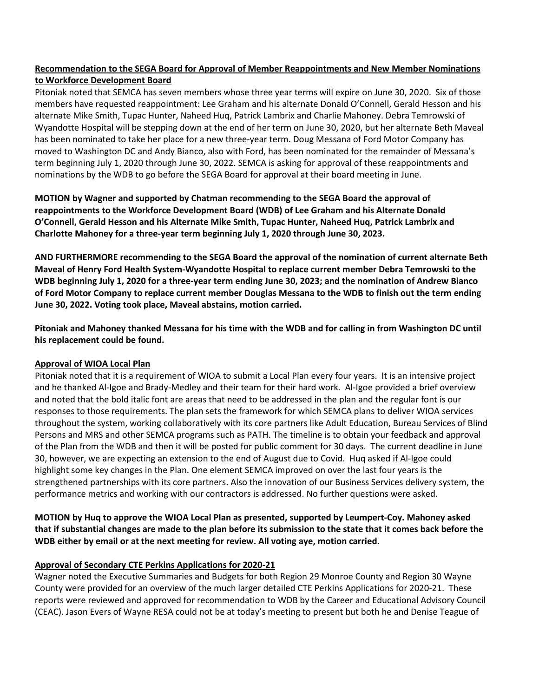## **Recommendation to the SEGA Board for Approval of Member Reappointments and New Member Nominations to Workforce Development Board**

Pitoniak noted that SEMCA has seven members whose three year terms will expire on June 30, 2020. Six of those members have requested reappointment: Lee Graham and his alternate Donald O'Connell, Gerald Hesson and his alternate Mike Smith, Tupac Hunter, Naheed Huq, Patrick Lambrix and Charlie Mahoney. Debra Temrowski of Wyandotte Hospital will be stepping down at the end of her term on June 30, 2020, but her alternate Beth Maveal has been nominated to take her place for a new three-year term. Doug Messana of Ford Motor Company has moved to Washington DC and Andy Bianco, also with Ford, has been nominated for the remainder of Messana's term beginning July 1, 2020 through June 30, 2022. SEMCA is asking for approval of these reappointments and nominations by the WDB to go before the SEGA Board for approval at their board meeting in June.

**MOTION by Wagner and supported by Chatman recommending to the SEGA Board the approval of reappointments to the Workforce Development Board (WDB) of Lee Graham and his Alternate Donald O'Connell, Gerald Hesson and his Alternate Mike Smith, Tupac Hunter, Naheed Huq, Patrick Lambrix and Charlotte Mahoney for a three-year term beginning July 1, 2020 through June 30, 2023.** 

**AND FURTHERMORE recommending to the SEGA Board the approval of the nomination of current alternate Beth Maveal of Henry Ford Health System-Wyandotte Hospital to replace current member Debra Temrowski to the WDB beginning July 1, 2020 for a three-year term ending June 30, 2023; and the nomination of Andrew Bianco of Ford Motor Company to replace current member Douglas Messana to the WDB to finish out the term ending June 30, 2022. Voting took place, Maveal abstains, motion carried.**

**Pitoniak and Mahoney thanked Messana for his time with the WDB and for calling in from Washington DC until his replacement could be found.** 

## **Approval of WIOA Local Plan**

Pitoniak noted that it is a requirement of WIOA to submit a Local Plan every four years. It is an intensive project and he thanked Al-Igoe and Brady-Medley and their team for their hard work. Al-Igoe provided a brief overview and noted that the bold italic font are areas that need to be addressed in the plan and the regular font is our responses to those requirements. The plan sets the framework for which SEMCA plans to deliver WIOA services throughout the system, working collaboratively with its core partners like Adult Education, Bureau Services of Blind Persons and MRS and other SEMCA programs such as PATH. The timeline is to obtain your feedback and approval of the Plan from the WDB and then it will be posted for public comment for 30 days. The current deadline in June 30, however, we are expecting an extension to the end of August due to Covid. Huq asked if Al-Igoe could highlight some key changes in the Plan. One element SEMCA improved on over the last four years is the strengthened partnerships with its core partners. Also the innovation of our Business Services delivery system, the performance metrics and working with our contractors is addressed. No further questions were asked.

**MOTION by Huq to approve the WIOA Local Plan as presented, supported by Leumpert-Coy. Mahoney asked that if substantial changes are made to the plan before its submission to the state that it comes back before the WDB either by email or at the next meeting for review. All voting aye, motion carried.** 

## **Approval of Secondary CTE Perkins Applications for 2020-21**

Wagner noted the Executive Summaries and Budgets for both Region 29 Monroe County and Region 30 Wayne County were provided for an overview of the much larger detailed CTE Perkins Applications for 2020-21. These reports were reviewed and approved for recommendation to WDB by the Career and Educational Advisory Council (CEAC). Jason Evers of Wayne RESA could not be at today's meeting to present but both he and Denise Teague of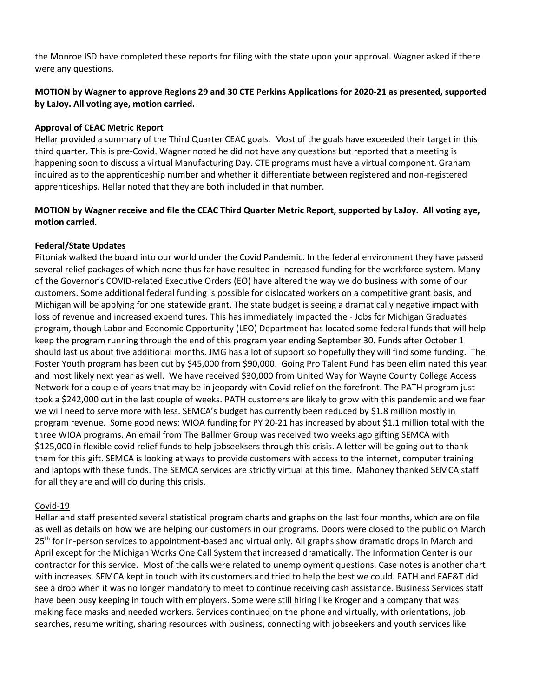the Monroe ISD have completed these reports for filing with the state upon your approval. Wagner asked if there were any questions.

## **MOTION by Wagner to approve Regions 29 and 30 CTE Perkins Applications for 2020-21 as presented, supported by LaJoy. All voting aye, motion carried.**

## **Approval of CEAC Metric Report**

Hellar provided a summary of the Third Quarter CEAC goals. Most of the goals have exceeded their target in this third quarter. This is pre-Covid. Wagner noted he did not have any questions but reported that a meeting is happening soon to discuss a virtual Manufacturing Day. CTE programs must have a virtual component. Graham inquired as to the apprenticeship number and whether it differentiate between registered and non-registered apprenticeships. Hellar noted that they are both included in that number.

## **MOTION by Wagner receive and file the CEAC Third Quarter Metric Report, supported by LaJoy. All voting aye, motion carried.**

## **Federal/State Updates**

Pitoniak walked the board into our world under the Covid Pandemic. In the federal environment they have passed several relief packages of which none thus far have resulted in increased funding for the workforce system. Many of the Governor's COVID-related Executive Orders (EO) have altered the way we do business with some of our customers. Some additional federal funding is possible for dislocated workers on a competitive grant basis, and Michigan will be applying for one statewide grant. The state budget is seeing a dramatically negative impact with loss of revenue and increased expenditures. This has immediately impacted the - Jobs for Michigan Graduates program, though Labor and Economic Opportunity (LEO) Department has located some federal funds that will help keep the program running through the end of this program year ending September 30. Funds after October 1 should last us about five additional months. JMG has a lot of support so hopefully they will find some funding. The Foster Youth program has been cut by \$45,000 from \$90,000. Going Pro Talent Fund has been eliminated this year and most likely next year as well. We have received \$30,000 from United Way for Wayne County College Access Network for a couple of years that may be in jeopardy with Covid relief on the forefront. The PATH program just took a \$242,000 cut in the last couple of weeks. PATH customers are likely to grow with this pandemic and we fear we will need to serve more with less. SEMCA's budget has currently been reduced by \$1.8 million mostly in program revenue. Some good news: WIOA funding for PY 20-21 has increased by about \$1.1 million total with the three WIOA programs. An email from The Ballmer Group was received two weeks ago gifting SEMCA with \$125,000 in flexible covid relief funds to help jobseeksers through this crisis. A letter will be going out to thank them for this gift. SEMCA is looking at ways to provide customers with access to the internet, computer training and laptops with these funds. The SEMCA services are strictly virtual at this time. Mahoney thanked SEMCA staff for all they are and will do during this crisis.

## Covid-19

Hellar and staff presented several statistical program charts and graphs on the last four months, which are on file as well as details on how we are helping our customers in our programs. Doors were closed to the public on March 25<sup>th</sup> for in-person services to appointment-based and virtual only. All graphs show dramatic drops in March and April except for the Michigan Works One Call System that increased dramatically. The Information Center is our contractor for this service. Most of the calls were related to unemployment questions. Case notes is another chart with increases. SEMCA kept in touch with its customers and tried to help the best we could. PATH and FAE&T did see a drop when it was no longer mandatory to meet to continue receiving cash assistance. Business Services staff have been busy keeping in touch with employers. Some were still hiring like Kroger and a company that was making face masks and needed workers. Services continued on the phone and virtually, with orientations, job searches, resume writing, sharing resources with business, connecting with jobseekers and youth services like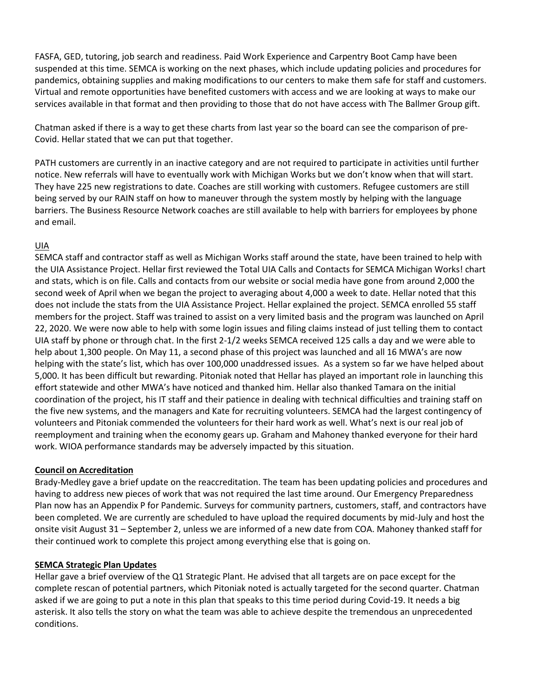FASFA, GED, tutoring, job search and readiness. Paid Work Experience and Carpentry Boot Camp have been suspended at this time. SEMCA is working on the next phases, which include updating policies and procedures for pandemics, obtaining supplies and making modifications to our centers to make them safe for staff and customers. Virtual and remote opportunities have benefited customers with access and we are looking at ways to make our services available in that format and then providing to those that do not have access with The Ballmer Group gift.

Chatman asked if there is a way to get these charts from last year so the board can see the comparison of pre-Covid. Hellar stated that we can put that together.

PATH customers are currently in an inactive category and are not required to participate in activities until further notice. New referrals will have to eventually work with Michigan Works but we don't know when that will start. They have 225 new registrations to date. Coaches are still working with customers. Refugee customers are still being served by our RAIN staff on how to maneuver through the system mostly by helping with the language barriers. The Business Resource Network coaches are still available to help with barriers for employees by phone and email.

## UIA

SEMCA staff and contractor staff as well as Michigan Works staff around the state, have been trained to help with the UIA Assistance Project. Hellar first reviewed the Total UIA Calls and Contacts for SEMCA Michigan Works! chart and stats, which is on file. Calls and contacts from our website or social media have gone from around 2,000 the second week of April when we began the project to averaging about 4,000 a week to date. Hellar noted that this does not include the stats from the UIA Assistance Project. Hellar explained the project. SEMCA enrolled 55 staff members for the project. Staff was trained to assist on a very limited basis and the program was launched on April 22, 2020. We were now able to help with some login issues and filing claims instead of just telling them to contact UIA staff by phone or through chat. In the first 2-1/2 weeks SEMCA received 125 calls a day and we were able to help about 1,300 people. On May 11, a second phase of this project was launched and all 16 MWA's are now helping with the state's list, which has over 100,000 unaddressed issues. As a system so far we have helped about 5,000. It has been difficult but rewarding. Pitoniak noted that Hellar has played an important role in launching this effort statewide and other MWA's have noticed and thanked him. Hellar also thanked Tamara on the initial coordination of the project, his IT staff and their patience in dealing with technical difficulties and training staff on the five new systems, and the managers and Kate for recruiting volunteers. SEMCA had the largest contingency of volunteers and Pitoniak commended the volunteers for their hard work as well. What's next is our real job of reemployment and training when the economy gears up. Graham and Mahoney thanked everyone for their hard work. WIOA performance standards may be adversely impacted by this situation.

## **Council on Accreditation**

Brady-Medley gave a brief update on the reaccreditation. The team has been updating policies and procedures and having to address new pieces of work that was not required the last time around. Our Emergency Preparedness Plan now has an Appendix P for Pandemic. Surveys for community partners, customers, staff, and contractors have been completed. We are currently are scheduled to have upload the required documents by mid-July and host the onsite visit August 31 – September 2, unless we are informed of a new date from COA. Mahoney thanked staff for their continued work to complete this project among everything else that is going on.

## **SEMCA Strategic Plan Updates**

Hellar gave a brief overview of the Q1 Strategic Plant. He advised that all targets are on pace except for the complete rescan of potential partners, which Pitoniak noted is actually targeted for the second quarter. Chatman asked if we are going to put a note in this plan that speaks to this time period during Covid-19. It needs a big asterisk. It also tells the story on what the team was able to achieve despite the tremendous an unprecedented conditions.